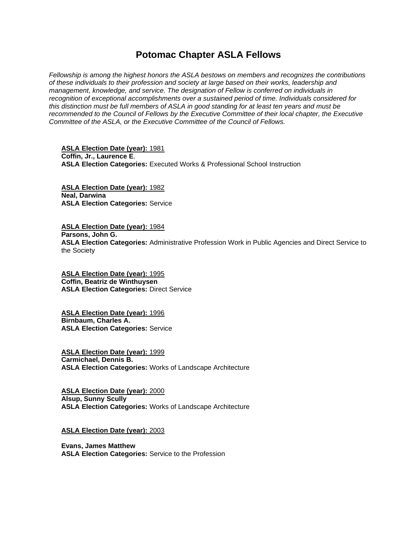# **Potomac Chapter ASLA Fellows**

*Fellowship is among the highest honors the ASLA bestows on members and recognizes the contributions of these individuals to their profession and society at large based on their works, leadership and management, knowledge, and service. The designation of Fellow is conferred on individuals in recognition of exceptional accomplishments over a sustained period of time. Individuals considered for this distinction must be full members of ASLA in good standing for at least ten years and must be recommended to the Council of Fellows by the Executive Committee of their local chapter, the Executive Committee of the ASLA, or the Executive Committee of the Council of Fellows.*

**ASLA Election Date (year):** 1981 **Coffin, Jr., Laurence E**. **ASLA Election Categories:** Executed Works & Professional School Instruction

**ASLA Election Date (year):** 1982 **Neal, Darwina ASLA Election Categories:** Service

**ASLA Election Date (year):** 1984 **Parsons, John G. ASLA Election Categories:** Administrative Profession Work in Public Agencies and Direct Service to the Society

**ASLA Election Date (year):** 1995 **Coffin, Beatriz de Winthuysen ASLA Election Categories:** Direct Service

**ASLA Election Date (year):** 1996 **Birnbaum, Charles A. ASLA Election Categories:** Service

**ASLA Election Date (year):** 1999 **Carmichael, Dennis B. ASLA Election Categories:** Works of Landscape Architecture

**ASLA Election Date (year):** 2000 **Alsup, Sunny Scully ASLA Election Categories:** Works of Landscape Architecture

**ASLA Election Date (year):** 2003

**Evans, James Matthew ASLA Election Categories:** Service to the Profession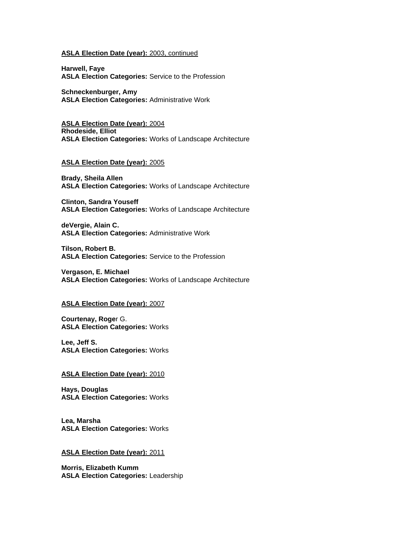## **ASLA Election Date (year):** 2003, continued

**Harwell, Faye ASLA Election Categories:** Service to the Profession

**Schneckenburger, Amy ASLA Election Categories:** Administrative Work

**ASLA Election Date (year):** 2004 **Rhodeside, Elliot ASLA Election Categories:** Works of Landscape Architecture

## **ASLA Election Date (year):** 2005

**Brady, Sheila Allen ASLA Election Categories:** Works of Landscape Architecture

**Clinton, Sandra Youseff ASLA Election Categories:** Works of Landscape Architecture

**deVergie, Alain C. ASLA Election Categories:** Administrative Work

**Tilson, Robert B. ASLA Election Categories:** Service to the Profession

**Vergason, E. Michael ASLA Election Categories:** Works of Landscape Architecture

### **ASLA Election Date (year):** 2007

**Courtenay, Roge**r G. **ASLA Election Categories:** Works

**Lee, Jeff S. ASLA Election Categories:** Works

# **ASLA Election Date (year):** 2010

**Hays, Douglas ASLA Election Categories:** Works

**Lea, Marsha ASLA Election Categories:** Works

## **ASLA Election Date (year):** 2011

**Morris, Elizabeth Kumm ASLA Election Categories:** Leadership